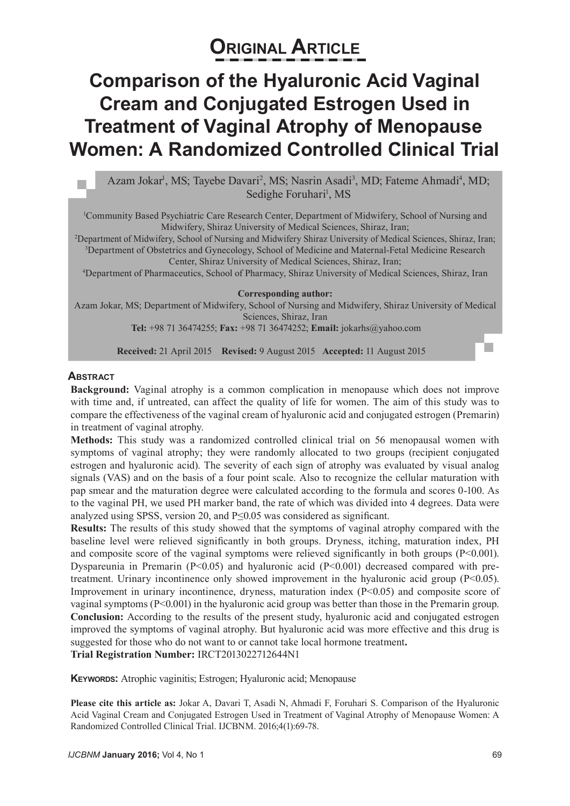# **Original Article**

## **Comparison of the Hyaluronic Acid Vaginal Cream and Conjugated Estrogen Used in Treatment of Vaginal Atrophy of Menopause Women: A Randomized Controlled Clinical Trial**

Azam Jokar<sup>i</sup>, MS; Tayebe Davari<sup>2</sup>, MS; Nasrin Asadi<sup>3</sup>, MD; Fateme Ahmadi<sup>4</sup>, MD; Sedighe Foruhari<sup>1</sup>, MS

1 Community Based Psychiatric Care Research Center, Department of Midwifery, School of Nursing and Midwifery, Shiraz University of Medical Sciences, Shiraz, Iran;

2 Department of Midwifery, School of Nursing and Midwifery Shiraz University of Medical Sciences, Shiraz, Iran; 3 Department of Obstetrics and Gynecology, School of Medicine and Maternal-Fetal Medicine Research

Center, Shiraz University of Medical Sciences, Shiraz, Iran; 4 Department of Pharmaceutics, School of Pharmacy, Shiraz University of Medical Sciences, Shiraz, Iran

#### **Corresponding author:**

Azam Jokar, MS; Department of Midwifery, School of Nursing and Midwifery, Shiraz University of Medical Sciences, Shiraz, Iran

**Tel:** +98 71 36474255; **Fax:** +98 71 36474252; **Email:** jokarhs@yahoo.com

**Received:** 21 April 2015 **Revised:** 9 August 2015 **Accepted:** 11 August 2015

#### **Abstract**

**Background:** Vaginal atrophy is a common complication in menopause which does not improve with time and, if untreated, can affect the quality of life for women. The aim of this study was to compare the effectiveness of the vaginal cream of hyaluronic acid and conjugated estrogen (Premarin) in treatment of vaginal atrophy.

**Methods:** This study was a randomized controlled clinical trial on 56 menopausal women with symptoms of vaginal atrophy; they were randomly allocated to two groups (recipient conjugated estrogen and hyaluronic acid). The severity of each sign of atrophy was evaluated by visual analog signals (VAS) and on the basis of a four point scale. Also to recognize the cellular maturation with pap smear and the maturation degree were calculated according to the formula and scores 0-100. As to the vaginal PH, we used PH marker band, the rate of which was divided into 4 degrees. Data were analyzed using SPSS, version 20, and P≤0.05 was considered as significant.

**Results:** The results of this study showed that the symptoms of vaginal atrophy compared with the baseline level were relieved significantly in both groups. Dryness, itching, maturation index, PH and composite score of the vaginal symptoms were relieved significantly in both groups  $(P<0.001)$ . Dyspareunia in Premarin  $(P<0.05)$  and hyaluronic acid  $(P<0.001)$  decreased compared with pretreatment. Urinary incontinence only showed improvement in the hyaluronic acid group  $(P<0.05)$ . Improvement in urinary incontinence, dryness, maturation index (P<0.05) and composite score of vaginal symptoms (P<0.001) in the hyaluronic acid group was better than those in the Premarin group. **Conclusion:** According to the results of the present study, hyaluronic acid and conjugated estrogen improved the symptoms of vaginal atrophy. But hyaluronic acid was more effective and this drug is suggested for those who do not want to or cannot take local hormone treatment**. Trial Registration Number:** IRCT2013022712644N1

**KEYWORDS:** Atrophic vaginitis; Estrogen; Hyaluronic acid; Menopause

**Please cite this article as:** Jokar A, Davari T, Asadi N, Ahmadi F, Foruhari S. Comparison of the Hyaluronic Acid Vaginal Cream and Conjugated Estrogen Used in Treatment of Vaginal Atrophy of Menopause Women: A Randomized Controlled Clinical Trial. IJCBNM. 2016;4(1):69-78.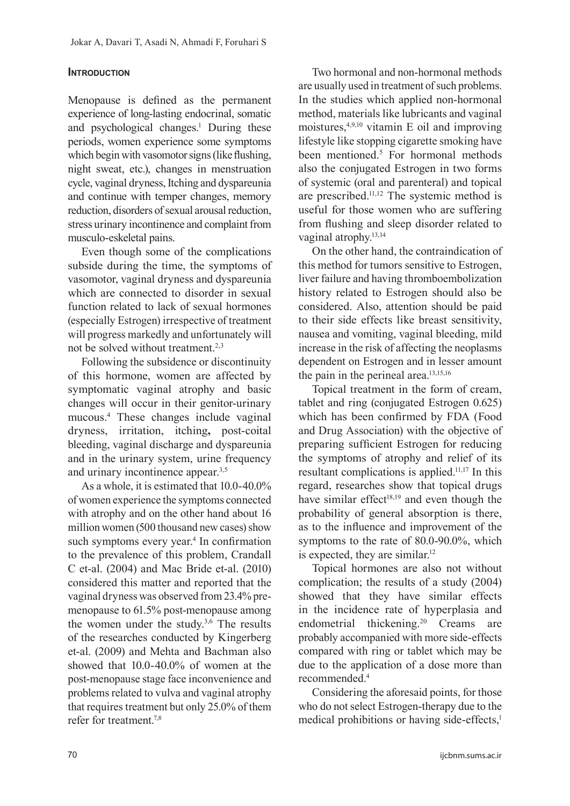## **INTRODUCTION**

Menopause is defined as the permanent experience of long-lasting endocrinal, somatic and psychological changes.<sup>1</sup> During these periods, women experience some symptoms which begin with vasomotor signs (like flushing, night sweat, etc.), changes in menstruation cycle, vaginal dryness, Itching and dyspareunia and continue with temper changes, memory reduction, disorders of sexual arousal reduction, stress urinary incontinence and complaint from musculo-eskeletal pains.

Even though some of the complications subside during the time, the symptoms of vasomotor, vaginal dryness and dyspareunia which are connected to disorder in sexual function related to lack of sexual hormones (especially Estrogen) irrespective of treatment will progress markedly and unfortunately will not be solved without treatment.2,3

Following the subsidence or discontinuity of this hormone, women are affected by symptomatic vaginal atrophy and basic changes will occur in their genitor-urinary mucous.4 These changes include vaginal dryness, irritation, itching**,** post-coital bleeding, vaginal discharge and dyspareunia and in the urinary system, urine frequency and urinary incontinence appear.3,5

As a whole, it is estimated that 10.0-40.0% of women experience the symptoms connected with atrophy and on the other hand about 16 million women (500 thousand new cases) show such symptoms every year.<sup>4</sup> In confirmation to the prevalence of this problem, Crandall C et-al. (2004) and Mac Bride et-al. (2010) considered this matter and reported that the vaginal dryness was observed from 23.4% premenopause to 61.5% post-menopause among the women under the study. $3,6$  The results of the researches conducted by Kingerberg et-al. (2009) and Mehta and Bachman also showed that 10.0-40.0% of women at the post-menopause stage face inconvenience and problems related to vulva and vaginal atrophy that requires treatment but only 25.0% of them refer for treatment  $7,8$ 

Two hormonal and non-hormonal methods are usually used in treatment of such problems. In the studies which applied non-hormonal method, materials like lubricants and vaginal moistures,  $4,9,10$  vitamin E oil and improving lifestyle like stopping cigarette smoking have been mentioned.<sup>5</sup> For hormonal methods also the conjugated Estrogen in two forms of systemic (oral and parenteral) and topical are prescribed.11,12 The systemic method is useful for those women who are suffering from flushing and sleep disorder related to vaginal atrophy.<sup>13,14</sup>

On the other hand, the contraindication of this method for tumors sensitive to Estrogen, liver failure and having thromboembolization history related to Estrogen should also be considered. Also, attention should be paid to their side effects like breast sensitivity, nausea and vomiting, vaginal bleeding, mild increase in the risk of affecting the neoplasms dependent on Estrogen and in lesser amount the pain in the perineal area.13,15,16

Topical treatment in the form of cream, tablet and ring (conjugated Estrogen 0.625) which has been confirmed by FDA (Food and Drug Association) with the objective of preparing sufficient Estrogen for reducing the symptoms of atrophy and relief of its resultant complications is applied.11,17 In this regard, researches show that topical drugs have similar effect<sup>18,19</sup> and even though the probability of general absorption is there, as to the influence and improvement of the symptoms to the rate of 80.0-90.0%, which is expected, they are similar.<sup>12</sup>

Topical hormones are also not without complication; the results of a study (2004) showed that they have similar effects in the incidence rate of hyperplasia and endometrial thickening.<sup>20</sup> Creams are probably accompanied with more side-effects compared with ring or tablet which may be due to the application of a dose more than recommended.4

Considering the aforesaid points, for those who do not select Estrogen-therapy due to the medical prohibitions or having side-effects.<sup>1</sup>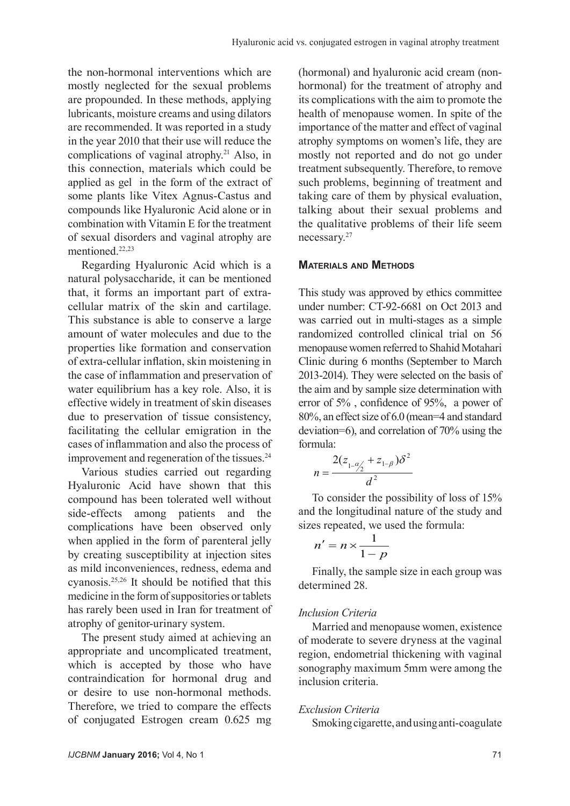the non-hormonal interventions which are mostly neglected for the sexual problems are propounded. In these methods, applying lubricants, moisture creams and using dilators are recommended. It was reported in a study in the year 2010 that their use will reduce the complications of vaginal atrophy.21 Also, in this connection, materials which could be applied as gel in the form of the extract of some plants like Vitex Agnus-Castus and compounds like Hyaluronic Acid alone or in combination with Vitamin E for the treatment of sexual disorders and vaginal atrophy are mentioned.22,23

Regarding Hyaluronic Acid which is a natural polysaccharide, it can be mentioned that, it forms an important part of extracellular matrix of the skin and cartilage. This substance is able to conserve a large amount of water molecules and due to the properties like formation and conservation of extra-cellular inflation, skin moistening in the case of inflammation and preservation of water equilibrium has a key role. Also, it is effective widely in treatment of skin diseases due to preservation of tissue consistency, facilitating the cellular emigration in the cases of inflammation and also the process of improvement and regeneration of the tissues.<sup>24</sup>

Various studies carried out regarding Hyaluronic Acid have shown that this compound has been tolerated well without side-effects among patients and the complications have been observed only when applied in the form of parenteral jelly by creating susceptibility at injection sites as mild inconveniences, redness, edema and cyanosis.25,26 It should be notified that this medicine in the form of suppositories or tablets has rarely been used in Iran for treatment of atrophy of genitor-urinary system.

The present study aimed at achieving an appropriate and uncomplicated treatment, which is accepted by those who have contraindication for hormonal drug and or desire to use non-hormonal methods. Therefore, we tried to compare the effects of conjugated Estrogen cream 0.625 mg (hormonal) and hyaluronic acid cream (nonhormonal) for the treatment of atrophy and its complications with the aim to promote the health of menopause women. In spite of the importance of the matter and effect of vaginal atrophy symptoms on women's life, they are mostly not reported and do not go under treatment subsequently. Therefore, to remove such problems, beginning of treatment and taking care of them by physical evaluation, talking about their sexual problems and the qualitative problems of their life seem necessary.27

#### **Materials and Methods**

This study was approved by ethics committee under number: CT-92-6681 on Oct 2013 and was carried out in multi-stages as a simple randomized controlled clinical trial on 56 menopause women referred to Shahid Motahari Clinic during 6 months (September to March 2013-2014). They were selected on the basis of the aim and by sample size determination with error of 5% , confidence of 95%, a power of 80%, an effect size of 6.0 (mean=4 and standard deviation=6), and correlation of 70% using the formula:

$$
n = \frac{2(z_{1-\frac{\alpha}{2}} + z_{1-\beta})\delta^2}{d^2}
$$

To consider the possibility of loss of 15% and the longitudinal nature of the study and sizes repeated, we used the formula:

$$
n'=n\times\frac{1}{1-p}
$$

Finally, the sample size in each group was determined 28.

#### *Inclusion Criteria*

Married and menopause women, existence of moderate to severe dryness at the vaginal region, endometrial thickening with vaginal sonography maximum 5mm were among the inclusion criteria.

#### *Exclusion Criteria*

Smoking cigarette, and using anti-coagulate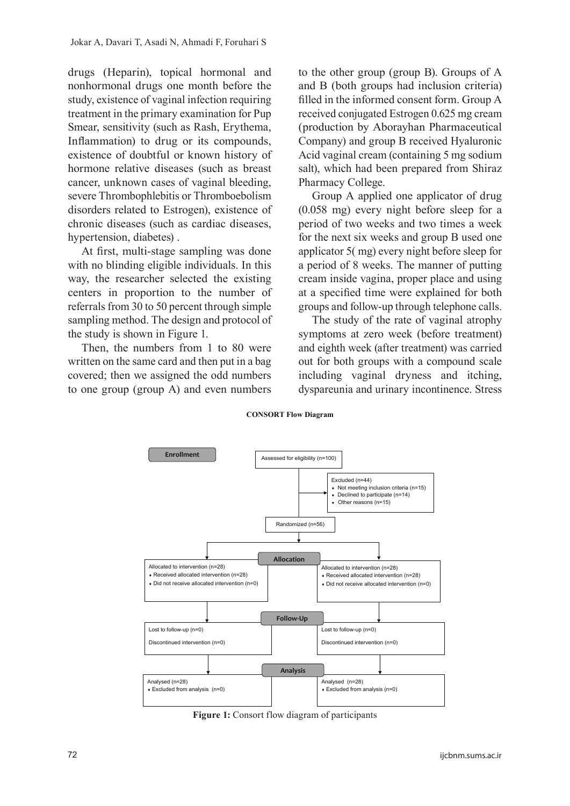drugs (Heparin), topical hormonal and nonhormonal drugs one month before the study, existence of vaginal infection requiring treatment in the primary examination for Pup Smear, sensitivity (such as Rash, Erythema, Inflammation) to drug or its compounds, existence of doubtful or known history of hormone relative diseases (such as breast cancer, unknown cases of vaginal bleeding, severe Thrombophlebitis or Thromboebolism disorders related to Estrogen), existence of chronic diseases (such as cardiac diseases, hypertension, diabetes) .

At first, multi-stage sampling was done with no blinding eligible individuals. In this way, the researcher selected the existing centers in proportion to the number of referrals from 30 to 50 percent through simple sampling method. The design and protocol of the study is shown in Figure 1.

Then, the numbers from 1 to 80 were written on the same card and then put in a bag covered; then we assigned the odd numbers to one group (group A) and even numbers

to the other group (group B). Groups of A and B (both groups had inclusion criteria) filled in the informed consent form. Group A received conjugated Estrogen 0.625 mg cream (production by Aborayhan Pharmaceutical Company) and group B received Hyaluronic Acid vaginal cream (containing 5 mg sodium salt), which had been prepared from Shiraz Pharmacy College.

Group A applied one applicator of drug (0.058 mg) every night before sleep for a period of two weeks and two times a week for the next six weeks and group B used one applicator  $5($  mg) every night before sleep for a period of 8 weeks. The manner of putting cream inside vagina, proper place and using at a specified time were explained for both groups and follow-up through telephone calls.

The study of the rate of vaginal atrophy symptoms at zero week (before treatment) and eighth week (after treatment) was carried out for both groups with a compound scale including vaginal dryness and itching, dyspareunia and urinary incontinence. Stress

#### **CONSORT Flow Diagram**



**Figure 1:** Consort flow diagram of participants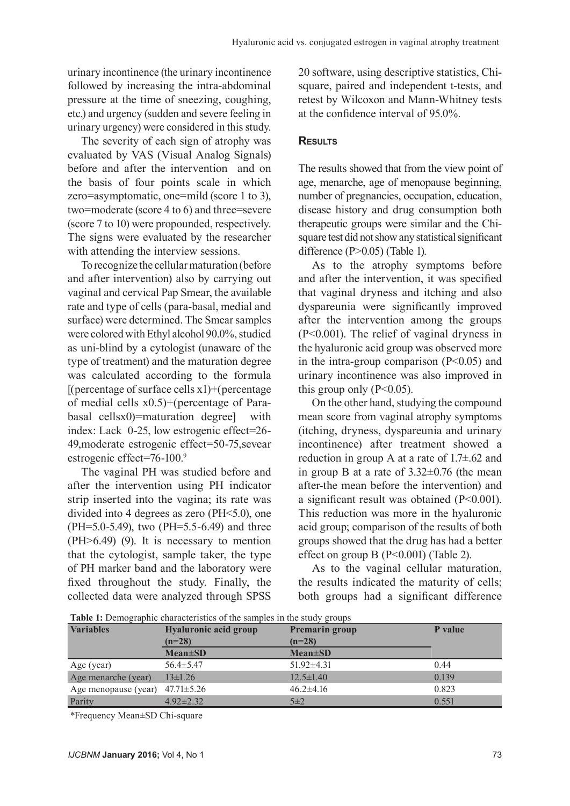urinary incontinence (the urinary incontinence followed by increasing the intra-abdominal pressure at the time of sneezing, coughing, etc.) and urgency (sudden and severe feeling in urinary urgency) were considered in this study.

The severity of each sign of atrophy was evaluated by VAS (Visual Analog Signals) before and after the intervention and on the basis of four points scale in which zero=asymptomatic, one=mild (score 1 to 3), two=moderate (score 4 to 6) and three=severe (score 7 to 10) were propounded, respectively. The signs were evaluated by the researcher with attending the interview sessions.

To recognize the cellular maturation (before and after intervention) also by carrying out vaginal and cervical Pap Smear, the available rate and type of cells (para-basal, medial and surface) were determined. The Smear samples were colored with Ethyl alcohol 90.0%, studied as uni-blind by a cytologist (unaware of the type of treatment) and the maturation degree was calculated according to the formula  $[$ (percentage of surface cells x1)+(percentage of medial cells x0.5)+(percentage of Parabasal cellsx0)=maturation degree] with index: Lack 0-25, low estrogenic effect=26- 49,moderate estrogenic effect=50-75,sevear estrogenic effect=76-100.9

The vaginal PH was studied before and after the intervention using PH indicator strip inserted into the vagina; its rate was divided into 4 degrees as zero (PH<5.0), one (PH=5.0-5.49), two (PH=5.5-6.49) and three (PH>6.49) (9). It is necessary to mention that the cytologist, sample taker, the type of PH marker band and the laboratory were fixed throughout the study. Finally, the collected data were analyzed through SPSS

20 software, using descriptive statistics, Chisquare, paired and independent t-tests, and retest by Wilcoxon and Mann-Whitney tests at the confidence interval of 95.0%.

### **Results**

The results showed that from the view point of age, menarche, age of menopause beginning, number of pregnancies, occupation, education, disease history and drug consumption both therapeutic groups were similar and the Chisquare test did not show any statistical significant difference (P>0.05) (Table 1).

As to the atrophy symptoms before and after the intervention, it was specified that vaginal dryness and itching and also dyspareunia were significantly improved after the intervention among the groups (P<0.001). The relief of vaginal dryness in the hyaluronic acid group was observed more in the intra-group comparison  $(P<0.05)$  and urinary incontinence was also improved in this group only  $(P<0.05)$ .

On the other hand, studying the compound mean score from vaginal atrophy symptoms (itching, dryness, dyspareunia and urinary incontinence) after treatment showed a reduction in group A at a rate of 1.7±.62 and in group B at a rate of  $3.32\pm0.76$  (the mean after-the mean before the intervention) and a significant result was obtained (P<0.001). This reduction was more in the hyaluronic acid group; comparison of the results of both groups showed that the drug has had a better effect on group B (P<0.001) (Table 2).

As to the vaginal cellular maturation, the results indicated the maturity of cells; both groups had a significant difference

| <b>Variables</b>     | <b>Hyaluronic acid group</b> | Premarin group            | P value |  |
|----------------------|------------------------------|---------------------------|---------|--|
|                      | $(n=28)$<br>$Mean \pm SD$    | $(n=28)$<br>$Mean \pm SD$ |         |  |
| Age (year)           | $56.4 \pm 5.47$              | $51.92 \pm 4.31$          | 0.44    |  |
| Age menarche (year)  | $13\pm 1.26$                 | $12.5 \pm 1.40$           | 0.139   |  |
| Age menopause (year) | $47.71 \pm 5.26$             | $46.2 \pm 4.16$           | 0.823   |  |
| Parity               | $4.92 \pm 2.32$              | $5\pm2$                   | 0.551   |  |

**Table 1:** Demographic characteristics of the samples in the study groups

\*Frequency Mean±SD Chi-square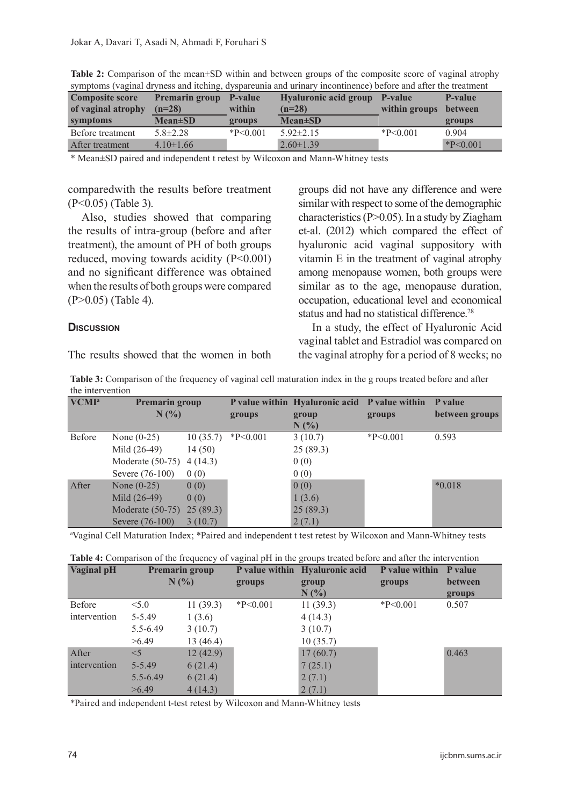| <b>Composite score</b><br>of vaginal atrophy | <b>Premarin group</b><br>$(n=28)$ | P-value<br>within | Hyaluronic acid group P-value<br>$(n=28)$ | within groups | P-value<br>between |
|----------------------------------------------|-----------------------------------|-------------------|-------------------------------------------|---------------|--------------------|
| symptoms                                     | $Mean \pm SD$                     | groups            | $Mean \pm SD$                             |               | groups             |
| Before treatment                             | $5.8 \pm 2.28$                    | $*P<0.001$        | $5.92 \pm 2.15$                           | $*P<0.001$    | 0.904              |
| After treatment                              | $4.10 \pm 1.66$                   |                   | $2.60 \pm 1.39$                           |               | $*P<0.001$         |

**Table 2:** Comparison of the mean±SD within and between groups of the composite score of vaginal atrophy symptoms (vaginal dryness and itching, dyspareunia and urinary incontinence) before and after the treatment

\* Mean±SD paired and independent t retest by Wilcoxon and Mann-Whitney tests

comparedwith the results before treatment (P<0.05) (Table 3).

Also, studies showed that comparing the results of intra-group (before and after treatment), the amount of PH of both groups reduced, moving towards acidity (P<0.001) and no significant difference was obtained when the results of both groups were compared (P>0.05) (Table 4).

## groups did not have any difference and were similar with respect to some of the demographic characteristics (P>0.05). In a study by Ziagham et-al. (2012) which compared the effect of hyaluronic acid vaginal suppository with vitamin E in the treatment of vaginal atrophy among menopause women, both groups were similar as to the age, menopause duration, occupation, educational level and economical status and had no statistical difference.<sup>28</sup>

In a study, the effect of Hyaluronic Acid vaginal tablet and Estradiol was compared on the vaginal atrophy for a period of 8 weeks; no

The results showed that the women in both

**Discussion**

**Table 3:** Comparison of the frequency of vaginal cell maturation index in the g roups treated before and after the intervention

| VCMI <sup>a</sup> | <b>Premarin group</b><br>$N(\%)$ |          | groups     | P value within Hyaluronic acid P value within<br>group<br>$N(\%)$ | groups     | P value<br>between groups |
|-------------------|----------------------------------|----------|------------|-------------------------------------------------------------------|------------|---------------------------|
| Before            | None $(0-25)$                    | 10(35.7) | $*P<0.001$ | 3(10.7)                                                           | $*P<0.001$ | 0.593                     |
|                   | Mild (26-49)                     | 14(50)   |            | 25(89.3)                                                          |            |                           |
|                   | Moderate $(50-75)$               | 4(14.3)  |            | 0(0)                                                              |            |                           |
|                   | Severe (76-100)                  | 0(0)     |            | 0(0)                                                              |            |                           |
| After             | None $(0-25)$                    | 0(0)     |            | 0(0)                                                              |            | $*0.018$                  |
|                   | Mild (26-49)                     | 0(0)     |            | 1(3.6)                                                            |            |                           |
|                   | Moderate (50-75) 25 (89.3)       |          |            | 25(89.3)                                                          |            |                           |
|                   | Severe (76-100)                  | 3(10.7)  |            | 2(7.1)                                                            |            |                           |

a Vaginal Cell Maturation Index; \*Paired and independent t test retest by Wilcoxon and Mann-Whitney tests

| Table 4: Comparison of the frequency of vaginal pH in the groups treated before and after the intervention |  |
|------------------------------------------------------------------------------------------------------------|--|
|------------------------------------------------------------------------------------------------------------|--|

| Vaginal pH<br><b>Premarin group</b> |              |           | P value within Hyaluronic acid | P value within | P value    |                |
|-------------------------------------|--------------|-----------|--------------------------------|----------------|------------|----------------|
|                                     | N(%          |           | groups                         | group          | groups     | <b>between</b> |
|                                     |              |           |                                | $N(\%)$        |            | groups         |
| Before                              | < 5.0        | 11(39.3)  | $*P<0.001$                     | 11(39.3)       | $*P<0.001$ | 0.507          |
| intervention                        | $5 - 5.49$   | 1(3.6)    |                                | 4(14.3)        |            |                |
|                                     | $5.5 - 6.49$ | 3(10.7)   |                                | 3(10.7)        |            |                |
|                                     | >6.49        | 13 (46.4) |                                | 10(35.7)       |            |                |
| After                               | $<$ 5        | 12(42.9)  |                                | 17(60.7)       |            | 0.463          |
| intervention                        | 5-5.49       | 6(21.4)   |                                | 7(25.1)        |            |                |
|                                     | $5.5 - 6.49$ | 6(21.4)   |                                | 2(7.1)         |            |                |
|                                     | >6.49        | 4(14.3)   |                                | 2(7.1)         |            |                |

\*Paired and independent t-test retest by Wilcoxon and Mann-Whitney tests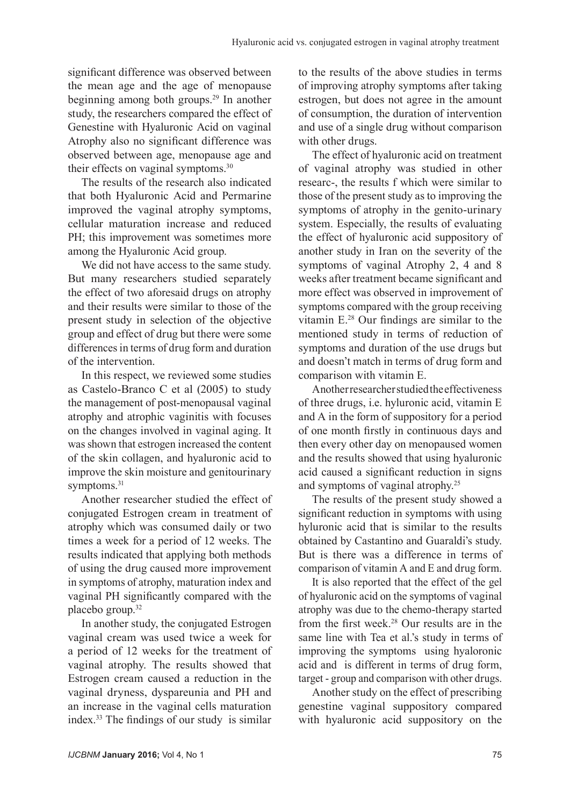significant difference was observed between the mean age and the age of menopause beginning among both groups.29 In another study, the researchers compared the effect of Genestine with Hyaluronic Acid on vaginal Atrophy also no significant difference was observed between age, menopause age and their effects on vaginal symptoms.<sup>30</sup>

The results of the research also indicated that both Hyaluronic Acid and Permarine improved the vaginal atrophy symptoms, cellular maturation increase and reduced PH; this improvement was sometimes more among the Hyaluronic Acid group.

We did not have access to the same study. But many researchers studied separately the effect of two aforesaid drugs on atrophy and their results were similar to those of the present study in selection of the objective group and effect of drug but there were some differences in terms of drug form and duration of the intervention.

In this respect, we reviewed some studies as Castelo-Branco C et al (2005) to study the management of post-menopausal vaginal atrophy and atrophic vaginitis with focuses on the changes involved in vaginal aging. It was shown that estrogen increased the content of the skin collagen, and hyaluronic acid to improve the skin moisture and genitourinary symptoms.<sup>31</sup>

Another researcher studied the effect of conjugated Estrogen cream in treatment of atrophy which was consumed daily or two times a week for a period of 12 weeks. The results indicated that applying both methods of using the drug caused more improvement in symptoms of atrophy, maturation index and vaginal PH significantly compared with the placebo group.32

In another study, the conjugated Estrogen vaginal cream was used twice a week for a period of 12 weeks for the treatment of vaginal atrophy. The results showed that Estrogen cream caused a reduction in the vaginal dryness, dyspareunia and PH and an increase in the vaginal cells maturation index.<sup>33</sup> The findings of our study is similar to the results of the above studies in terms of improving atrophy symptoms after taking estrogen, but does not agree in the amount of consumption, the duration of intervention and use of a single drug without comparison with other drugs.

The effect of hyaluronic acid on treatment of vaginal atrophy was studied in other researc-, the results f which were similar to those of the present study as to improving the symptoms of atrophy in the genito-urinary system. Especially, the results of evaluating the effect of hyaluronic acid suppository of another study in Iran on the severity of the symptoms of vaginal Atrophy 2, 4 and 8 weeks after treatment became significant and more effect was observed in improvement of symptoms compared with the group receiving vitamin E.28 Our findings are similar to the mentioned study in terms of reduction of symptoms and duration of the use drugs but and doesn't match in terms of drug form and comparison with vitamin E.

Another researcher studied the effectiveness of three drugs, i.e. hyluronic acid, vitamin E and A in the form of suppository for a period of one month firstly in continuous days and then every other day on menopaused women and the results showed that using hyaluronic acid caused a significant reduction in signs and symptoms of vaginal atrophy.25

The results of the present study showed a significant reduction in symptoms with using hyluronic acid that is similar to the results obtained by Castantino and Guaraldi's study. But is there was a difference in terms of comparison of vitamin A and E and drug form.

It is also reported that the effect of the gel of hyaluronic acid on the symptoms of vaginal atrophy was due to the chemo-therapy started from the first week.28 Our results are in the same line with Tea et al.'s study in terms of improving the symptoms using hyaloronic acid and is different in terms of drug form, target - group and comparison with other drugs.

Another study on the effect of prescribing genestine vaginal suppository compared with hyaluronic acid suppository on the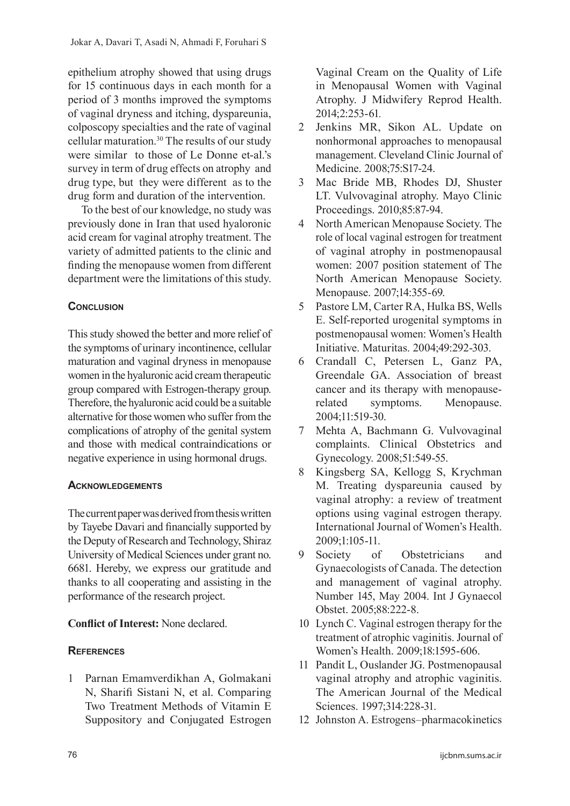epithelium atrophy showed that using drugs for 15 continuous days in each month for a period of 3 months improved the symptoms of vaginal dryness and itching, dyspareunia, colposcopy specialties and the rate of vaginal cellular maturation.30 The results of our study were similar to those of Le Donne et-al.'s survey in term of drug effects on atrophy and drug type, but they were different as to the drug form and duration of the intervention.

To the best of our knowledge, no study was previously done in Iran that used hyaloronic acid cream for vaginal atrophy treatment. The variety of admitted patients to the clinic and finding the menopause women from different department were the limitations of this study.

## **CONCLUSION**

This study showed the better and more relief of the symptoms of urinary incontinence, cellular maturation and vaginal dryness in menopause women in the hyaluronic acid cream therapeutic group compared with Estrogen-therapy group. Therefore, the hyaluronic acid could be a suitable alternative for those women who suffer from the complications of atrophy of the genital system and those with medical contraindications or negative experience in using hormonal drugs.

## **Acknowledgements**

The current paper was derived from thesis written by Tayebe Davari and financially supported by the Deputy of Research and Technology, Shiraz University of Medical Sciences under grant no. 6681. Hereby, we express our gratitude and thanks to all cooperating and assisting in the performance of the research project.

## **Conflict of Interest:** None declared.

## **References**

1 Parnan Emamverdikhan A, Golmakani N, Sharifi Sistani N, et al. Comparing Two Treatment Methods of Vitamin E Suppository and Conjugated Estrogen

Vaginal Cream on the Quality of Life in Menopausal Women with Vaginal Atrophy. J Midwifery Reprod Health. 2014;2:253-61*.*

- 2 Jenkins MR, Sikon AL. Update on nonhormonal approaches to menopausal management. Cleveland Clinic Journal of Medicine. 2008;75:S17-24.
- 3 Mac Bride MB, Rhodes DJ, Shuster LT. Vulvovaginal atrophy. Mayo Clinic Proceedings. 2010;85:87-94.
- 4 North American Menopause Society. The role of local vaginal estrogen for treatment of vaginal atrophy in postmenopausal women: 2007 position statement of The North American Menopause Society. Menopause. 2007;14:355-69.
- 5 Pastore LM, Carter RA, Hulka BS, Wells E. Self-reported urogenital symptoms in postmenopausal women: Women's Health Initiative. Maturitas. 2004;49:292-303.
- 6 Crandall C, Petersen L, Ganz PA, Greendale GA. Association of breast cancer and its therapy with menopauserelated symptoms. Menopause. 2004;11:519-30.
- 7 Mehta A, Bachmann G. Vulvovaginal complaints. Clinical Obstetrics and Gynecology. 2008;51:549-55.
- 8 Kingsberg SA, Kellogg S, Krychman M. Treating dyspareunia caused by vaginal atrophy: a review of treatment options using vaginal estrogen therapy. International Journal of Women's Health. 2009;1:105-11.
- 9 Society of Obstetricians and Gynaecologists of Canada. The detection and management of vaginal atrophy. Number 145, May 2004. Int J Gynaecol Obstet. 2005;88:222-8.
- 10 Lynch C. Vaginal estrogen therapy for the treatment of atrophic vaginitis. Journal of Women's Health. 2009;18:1595-606.
- 11 Pandit L, Ouslander JG. Postmenopausal vaginal atrophy and atrophic vaginitis. The American Journal of the Medical Sciences. 1997;314:228-31.
- 12 Johnston A. Estrogens–pharmacokinetics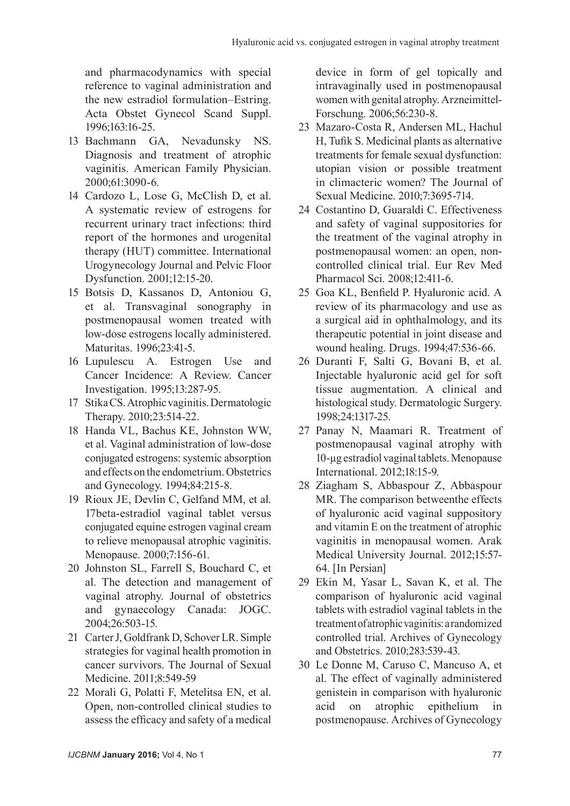and pharmacodynamics with special reference to vaginal administration and the new estradiol formulation–Estring. Acta Obstet Gynecol Scand Suppl. 1996;163:16-25.

- 13 Bachmann GA, Nevadunsky NS. Diagnosis and treatment of atrophic vaginitis. American Family Physician. 2000;61:3090-6.
- 14 Cardozo L, Lose G, McClish D, et al. A systematic review of estrogens for recurrent urinary tract infections: third report of the hormones and urogenital therapy (HUT) committee. International Urogynecology Journal and Pelvic Floor Dysfunction. 2001;12:15-20.
- 15 Botsis D, Kassanos D, Antoniou G, et al. Transvaginal sonography in postmenopausal women treated with low-dose estrogens locally administered. Maturitas. 1996;23:41-5.
- 16 Lupulescu A. Estrogen Use and Cancer Incidence: A Review. Cancer Investigation. 1995;13:287-95.
- 17 Stika CS. Atrophic vaginitis. Dermatologic Therapy. 2010;23:514-22.
- 18 Handa VL, Bachus KE, Johnston WW, et al. Vaginal administration of low-dose conjugated estrogens: systemic absorption and effects on the endometrium. Obstetrics and Gynecology. 1994;84:215-8.
- 19 Rioux JE, Devlin C, Gelfand MM, et al. 17beta-estradiol vaginal tablet versus conjugated equine estrogen vaginal cream to relieve menopausal atrophic vaginitis. Menopause. 2000;7:156-61.
- 20 Johnston SL, Farrell S, Bouchard C, et al. The detection and management of vaginal atrophy. Journal of obstetrics and gynaecology Canada: JOGC. 2004;26:503-15.
- 21 Carter J, Goldfrank D, Schover LR. Simple strategies for vaginal health promotion in cancer survivors. The Journal of Sexual Medicine. 2011;8:549-59
- 22 Morali G, Polatti F, Metelitsa EN, et al. Open, non-controlled clinical studies to assess the efficacy and safety of a medical

device in form of gel topically and intravaginally used in postmenopausal women with genital atrophy. Arzneimittel-Forschung. 2006;56:230-8.

- 23 Mazaro-Costa R, Andersen ML, Hachul H, Tufik S. Medicinal plants as alternative treatments for female sexual dysfunction: utopian vision or possible treatment in climacteric women? The Journal of Sexual Medicine. 2010;7:3695-714.
- 24 Costantino D, Guaraldi C. Effectiveness and safety of vaginal suppositories for the treatment of the vaginal atrophy in postmenopausal women: an open, noncontrolled clinical trial. Eur Rev Med Pharmacol Sci. 2008;12:411-6.
- 25 Goa KL, Benfield P. Hyaluronic acid. A review of its pharmacology and use as a surgical aid in ophthalmology, and its therapeutic potential in joint disease and wound healing. Drugs. 1994;47:536-66.
- 26 Duranti F, Salti G, Bovani B, et al. Injectable hyaluronic acid gel for soft tissue augmentation. A clinical and histological study. Dermatologic Surgery. 1998;24:1317-25.
- 27 Panay N, Maamari R. Treatment of postmenopausal vaginal atrophy with 10-µg estradiol vaginal tablets. Menopause International. 2012;18:15-9.
- 28 Ziagham S, Abbaspour Z, Abbaspour MR. The comparison betweenthe effects of hyaluronic acid vaginal suppository and vitamin E on the treatment of atrophic vaginitis in menopausal women. Arak Medical University Journal. 2012;15:57- 64. [In Persian]
- 29 Ekin M, Yasar L, Savan K, et al. The comparison of hyaluronic acid vaginal tablets with estradiol vaginal tablets in the treatment of atrophic vaginitis: a randomized controlled trial. Archives of Gynecology and Obstetrics. 2010;283:539-43.
- 30 Le Donne M, Caruso C, Mancuso A, et al. The effect of vaginally administered genistein in comparison with hyaluronic acid on atrophic epithelium in postmenopause. Archives of Gynecology